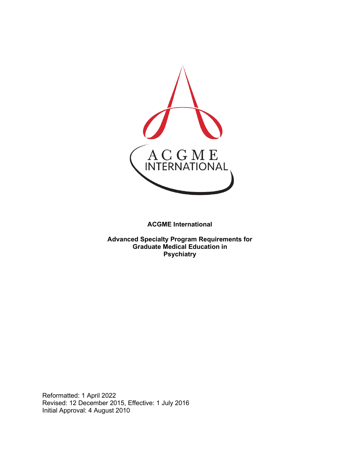

**ACGME International** 

**Advanced Specialty Program Requirements for Graduate Medical Education in Psychiatry**

Reformatted: 1 April 2022 Revised: 12 December 2015, Effective: 1 July 2016 Initial Approval: 4 August 2010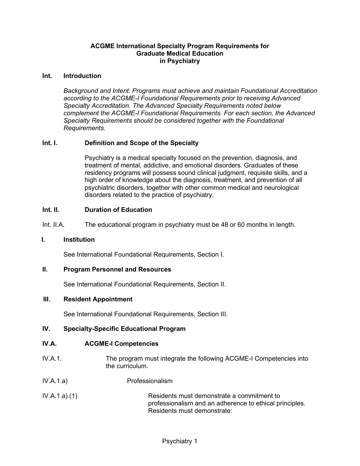## **ACGME International Specialty Program Requirements for Graduate Medical Education in Psychiatry**

#### **Int. Introduction**

*Background and Intent: Programs must achieve and maintain Foundational Accreditation according to the ACGME-I Foundational Requirements prior to receiving Advanced Specialty Accreditation. The Advanced Specialty Requirements noted below complement the ACGME-I Foundational Requirements. For each section, the Advanced Specialty Requirements should be considered together with the Foundational Requirements.*

## **Int. I. Definition and Scope of the Specialty**

Psychiatry is a medical specialty focused on the prevention, diagnosis, and treatment of mental, addictive, and emotional disorders. Graduates of these residency programs will possess sound clinical judgment, requisite skills, and a high order of knowledge about the diagnosis, treatment, and prevention of all psychiatric disorders, together with other common medical and neurological disorders related to the practice of psychiatry.

#### **Int. II. Duration of Education**

Int. II.A. The educational program in psychiatry must be 48 or 60 months in length.

#### **I. Institution**

See International Foundational Requirements, Section I.

#### **II. Program Personnel and Resources**

See International Foundational Requirements, Section II.

#### **III. Resident Appointment**

See International Foundational Requirements, Section III.

## **IV. Specialty-Specific Educational Program**

## **IV.A. ACGME-I Competencies**

- IV.A.1. The program must integrate the following ACGME-I Competencies into the curriculum.
- IV.A.1.a) Professionalism
- IV.A.1.a).(1) Residents must demonstrate a commitment to professionalism and an adherence to ethical principles. Residents must demonstrate: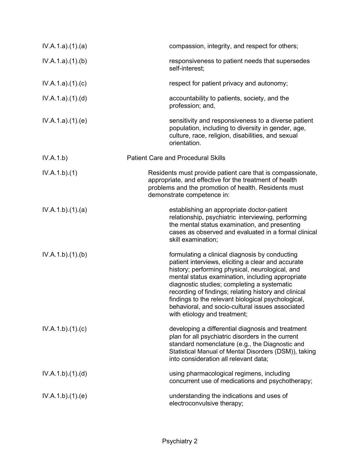| IV.A.1.a)(1)(a) | compassion, integrity, and respect for others;                                                                                                                                                                                                                                                                                                                                                                                                               |
|-----------------|--------------------------------------------------------------------------------------------------------------------------------------------------------------------------------------------------------------------------------------------------------------------------------------------------------------------------------------------------------------------------------------------------------------------------------------------------------------|
| IV.A.1.a)(1)(b) | responsiveness to patient needs that supersedes<br>self-interest;                                                                                                                                                                                                                                                                                                                                                                                            |
| IV.A.1.a)(1)(c) | respect for patient privacy and autonomy;                                                                                                                                                                                                                                                                                                                                                                                                                    |
| IV.A.1.a)(1)(d) | accountability to patients, society, and the<br>profession; and,                                                                                                                                                                                                                                                                                                                                                                                             |
| IV.A.1.a)(1)(e) | sensitivity and responsiveness to a diverse patient<br>population, including to diversity in gender, age,<br>culture, race, religion, disabilities, and sexual<br>orientation.                                                                                                                                                                                                                                                                               |
| IV.A.1.b)       | <b>Patient Care and Procedural Skills</b>                                                                                                                                                                                                                                                                                                                                                                                                                    |
| IV.A.1.b)(1)    | Residents must provide patient care that is compassionate,<br>appropriate, and effective for the treatment of health<br>problems and the promotion of health. Residents must<br>demonstrate competence in:                                                                                                                                                                                                                                                   |
| IV.A.1.b)(1)(a) | establishing an appropriate doctor-patient<br>relationship, psychiatric interviewing, performing<br>the mental status examination, and presenting<br>cases as observed and evaluated in a formal clinical<br>skill examination;                                                                                                                                                                                                                              |
| IV.A.1.b)(1)(b) | formulating a clinical diagnosis by conducting<br>patient interviews, eliciting a clear and accurate<br>history; performing physical, neurological, and<br>mental status examination, including appropriate<br>diagnostic studies; completing a systematic<br>recording of findings; relating history and clinical<br>findings to the relevant biological psychological,<br>behavioral, and socio-cultural issues associated<br>with etiology and treatment; |
| IV.A.1.b)(1)(c) | developing a differential diagnosis and treatment<br>plan for all psychiatric disorders in the current<br>standard nomenclature (e.g., the Diagnostic and<br>Statistical Manual of Mental Disorders (DSM)), taking<br>into consideration all relevant data;                                                                                                                                                                                                  |
| IV.A.1.b)(1)(d) | using pharmacological regimens, including<br>concurrent use of medications and psychotherapy;                                                                                                                                                                                                                                                                                                                                                                |
| IV.A.1.b)(1)(e) | understanding the indications and uses of<br>electroconvulsive therapy;                                                                                                                                                                                                                                                                                                                                                                                      |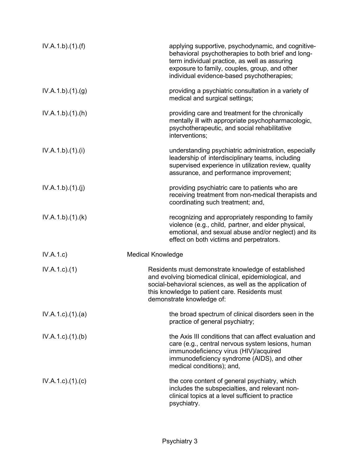| IV.A.1.b)(1)(f)          | applying supportive, psychodynamic, and cognitive-<br>behavioral psychotherapies to both brief and long-<br>term individual practice, as well as assuring<br>exposure to family, couples, group, and other<br>individual evidence-based psychotherapies;  |
|--------------------------|-----------------------------------------------------------------------------------------------------------------------------------------------------------------------------------------------------------------------------------------------------------|
| IV.A.1.b)(1)(g)          | providing a psychiatric consultation in a variety of<br>medical and surgical settings;                                                                                                                                                                    |
| IV.A.1.b)(1)(h)          | providing care and treatment for the chronically<br>mentally ill with appropriate psychopharmacologic,<br>psychotherapeutic, and social rehabilitative<br>interventions;                                                                                  |
| IV.A.1.b)(1)(i)          | understanding psychiatric administration, especially<br>leadership of interdisciplinary teams, including<br>supervised experience in utilization review, quality<br>assurance, and performance improvement;                                               |
| IV.A.1.b)(1)(j)          | providing psychiatric care to patients who are<br>receiving treatment from non-medical therapists and<br>coordinating such treatment; and,                                                                                                                |
| IV.A.1.b)(1)(k)          | recognizing and appropriately responding to family<br>violence (e.g., child, partner, and elder physical,<br>emotional, and sexual abuse and/or neglect) and its<br>effect on both victims and perpetrators.                                              |
| IV.A.1.c)                | <b>Medical Knowledge</b>                                                                                                                                                                                                                                  |
| $IV.A.1.c.$ (1)          | Residents must demonstrate knowledge of established<br>and evolving biomedical clinical, epidemiological, and<br>social-behavioral sciences, as well as the application of<br>this knowledge to patient care. Residents must<br>demonstrate knowledge of: |
| $IV.A.1.c.$ $(1).$ $(a)$ | the broad spectrum of clinical disorders seen in the<br>practice of general psychiatry;                                                                                                                                                                   |
| $IV.A.1.c$ . $(1).$ (b)  | the Axis III conditions that can affect evaluation and<br>care (e.g., central nervous system lesions, human<br>immunodeficiency virus (HIV)/acquired<br>immunodeficiency syndrome (AIDS), and other<br>medical conditions); and,                          |
| $IV.A.1.c$ ). $(1).$ (c) | the core content of general psychiatry, which<br>includes the subspecialties, and relevant non-<br>clinical topics at a level sufficient to practice<br>psychiatry.                                                                                       |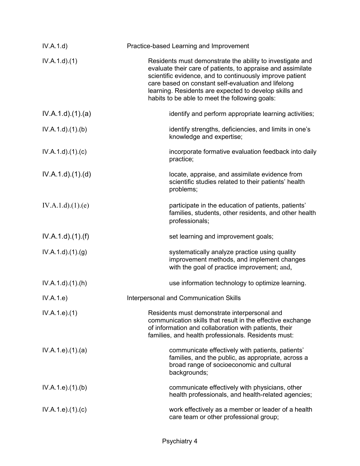| IV.A.1.d)                  | Practice-based Learning and Improvement                                                                                                                                                                                                                                                                                                                 |
|----------------------------|---------------------------------------------------------------------------------------------------------------------------------------------------------------------------------------------------------------------------------------------------------------------------------------------------------------------------------------------------------|
| IV.A.1.d.(1)               | Residents must demonstrate the ability to investigate and<br>evaluate their care of patients, to appraise and assimilate<br>scientific evidence, and to continuously improve patient<br>care based on constant self-evaluation and lifelong<br>learning. Residents are expected to develop skills and<br>habits to be able to meet the following goals: |
| IV.A.1.d)(1)(a)            | identify and perform appropriate learning activities;                                                                                                                                                                                                                                                                                                   |
| IV.A.1.d)(1)(b)            | identify strengths, deficiencies, and limits in one's<br>knowledge and expertise;                                                                                                                                                                                                                                                                       |
| IV.A.1.d)(1)(c)            | incorporate formative evaluation feedback into daily<br>practice;                                                                                                                                                                                                                                                                                       |
| IV.A.1.d)(1)(d)            | locate, appraise, and assimilate evidence from<br>scientific studies related to their patients' health<br>problems;                                                                                                                                                                                                                                     |
| IV.A.1.d)(1)(e)            | participate in the education of patients, patients'<br>families, students, other residents, and other health<br>professionals;                                                                                                                                                                                                                          |
| $IV.A.1.d$ . $(1)$ . $(f)$ | set learning and improvement goals;                                                                                                                                                                                                                                                                                                                     |
| IV.A.1.d)(1)(g)            | systematically analyze practice using quality<br>improvement methods, and implement changes<br>with the goal of practice improvement; and,                                                                                                                                                                                                              |
| $IV.A.1.d$ . $(1).(h)$     | use information technology to optimize learning.                                                                                                                                                                                                                                                                                                        |
| IV.A.1.e)                  | Interpersonal and Communication Skills                                                                                                                                                                                                                                                                                                                  |
| IV.A.1.e. (1)              | Residents must demonstrate interpersonal and<br>communication skills that result in the effective exchange<br>of information and collaboration with patients, their<br>families, and health professionals. Residents must:                                                                                                                              |
| IV.A.1.e. (1). (a)         | communicate effectively with patients, patients'<br>families, and the public, as appropriate, across a<br>broad range of socioeconomic and cultural<br>backgrounds;                                                                                                                                                                                     |
| IV.A.1.e. (1)(b)           | communicate effectively with physicians, other<br>health professionals, and health-related agencies;                                                                                                                                                                                                                                                    |
| IV.A.1.e. (1). (c)         | work effectively as a member or leader of a health<br>care team or other professional group;                                                                                                                                                                                                                                                            |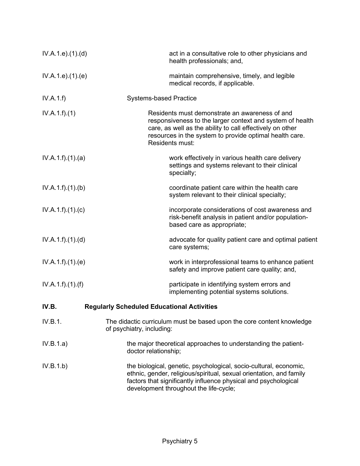| IV.A.1.e. (1). (d) | act in a consultative role to other physicians and<br>health professionals; and,                                                                                                                                                                       |
|--------------------|--------------------------------------------------------------------------------------------------------------------------------------------------------------------------------------------------------------------------------------------------------|
| IV.A.1.e. (1). (e) | maintain comprehensive, timely, and legible<br>medical records, if applicable.                                                                                                                                                                         |
| IV.A.1.f)          | <b>Systems-based Practice</b>                                                                                                                                                                                                                          |
| IV.A.1.f)(1)       | Residents must demonstrate an awareness of and<br>responsiveness to the larger context and system of health<br>care, as well as the ability to call effectively on other<br>resources in the system to provide optimal health care.<br>Residents must: |
| IV.A.1.f)(1)(a)    | work effectively in various health care delivery<br>settings and systems relevant to their clinical<br>specialty;                                                                                                                                      |
| IV.A.1.f)(1)(b)    | coordinate patient care within the health care<br>system relevant to their clinical specialty;                                                                                                                                                         |
| IV.A.1.f)(1)(c)    | incorporate considerations of cost awareness and<br>risk-benefit analysis in patient and/or population-<br>based care as appropriate;                                                                                                                  |
| IV.A.1.f)(1)(d)    | advocate for quality patient care and optimal patient<br>care systems;                                                                                                                                                                                 |
| IV.A.1.f)(1)(e)    | work in interprofessional teams to enhance patient<br>safety and improve patient care quality; and,                                                                                                                                                    |
| IV.A.1.f).(1).(f)  | participate in identifying system errors and<br>implementing potential systems solutions.                                                                                                                                                              |
| IV.B.              | <b>Regularly Scheduled Educational Activities</b>                                                                                                                                                                                                      |
| IV.B.1.            | The didactic curriculum must be based upon the core content knowledge<br>of psychiatry, including:                                                                                                                                                     |
| IV.B.1.a)          | the major theoretical approaches to understanding the patient-<br>doctor relationship;                                                                                                                                                                 |
| IV.B.1.b)          | the biological, genetic, psychological, socio-cultural, economic,<br>ethnic, gender, religious/spiritual, sexual orientation, and family<br>factors that significantly influence physical and psychological<br>development throughout the life-cycle;  |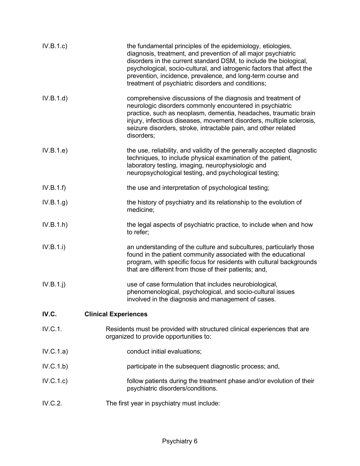| IV.B.1.c    | the fundamental principles of the epidemiology, etiologies,<br>diagnosis, treatment, and prevention of all major psychiatric<br>disorders in the current standard DSM, to include the biological,<br>psychological, socio-cultural, and iatrogenic factors that affect the<br>prevention, incidence, prevalence, and long-term course and<br>treatment of psychiatric disorders and conditions; |
|-------------|-------------------------------------------------------------------------------------------------------------------------------------------------------------------------------------------------------------------------------------------------------------------------------------------------------------------------------------------------------------------------------------------------|
| IV.B.1.d)   | comprehensive discussions of the diagnosis and treatment of<br>neurologic disorders commonly encountered in psychiatric<br>practice, such as neoplasm, dementia, headaches, traumatic brain<br>injury, infectious diseases, movement disorders, multiple sclerosis,<br>seizure disorders, stroke, intractable pain, and other related<br>disorders;                                             |
| IV.B.1.e)   | the use, reliability, and validity of the generally accepted diagnostic<br>techniques, to include physical examination of the patient,<br>laboratory testing, imaging, neurophysiologic and<br>neuropsychological testing, and psychological testing;                                                                                                                                           |
| IV.B.1.f    | the use and interpretation of psychological testing;                                                                                                                                                                                                                                                                                                                                            |
| IV.B.1.g)   | the history of psychiatry and its relationship to the evolution of<br>medicine;                                                                                                                                                                                                                                                                                                                 |
| IV.B.1.h)   | the legal aspects of psychiatric practice, to include when and how<br>to refer;                                                                                                                                                                                                                                                                                                                 |
| IV.B.1.i)   | an understanding of the culture and subcultures, particularly those<br>found in the patient community associated with the educational<br>program, with specific focus for residents with cultural backgrounds<br>that are different from those of their patients; and,                                                                                                                          |
| $IV.B.1.$ j | use of case formulation that includes neurobiological,<br>phenomenological, psychological, and socio-cultural issues<br>involved in the diagnosis and management of cases.                                                                                                                                                                                                                      |
| IV.C.       | <b>Clinical Experiences</b>                                                                                                                                                                                                                                                                                                                                                                     |
| IV.C.1.     | Residents must be provided with structured clinical experiences that are<br>organized to provide opportunities to:                                                                                                                                                                                                                                                                              |
| IV.C.1.a)   | conduct initial evaluations;                                                                                                                                                                                                                                                                                                                                                                    |
| IV.C.1.b)   | participate in the subsequent diagnostic process; and,                                                                                                                                                                                                                                                                                                                                          |
| IV.C.1.c)   | follow patients during the treatment phase and/or evolution of their<br>psychiatric disorders/conditions.                                                                                                                                                                                                                                                                                       |
| IV.C.2.     | The first year in psychiatry must include:                                                                                                                                                                                                                                                                                                                                                      |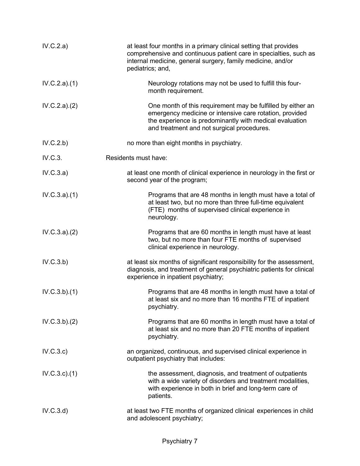| IV.C.2.a)    | at least four months in a primary clinical setting that provides<br>comprehensive and continuous patient care in specialties, such as<br>internal medicine, general surgery, family medicine, and/or<br>pediatrics; and,        |
|--------------|---------------------------------------------------------------------------------------------------------------------------------------------------------------------------------------------------------------------------------|
| IV.C.2.a)(1) | Neurology rotations may not be used to fulfill this four-<br>month requirement.                                                                                                                                                 |
| IV.C.2.a)(2) | One month of this requirement may be fulfilled by either an<br>emergency medicine or intensive care rotation, provided<br>the experience is predominantly with medical evaluation<br>and treatment and not surgical procedures. |
| IV.C.2.b)    | no more than eight months in psychiatry.                                                                                                                                                                                        |
| IV.C.3.      | Residents must have:                                                                                                                                                                                                            |
| IV.C.3.a)    | at least one month of clinical experience in neurology in the first or<br>second year of the program;                                                                                                                           |
| IV.C.3.a)(1) | Programs that are 48 months in length must have a total of<br>at least two, but no more than three full-time equivalent<br>(FTE) months of supervised clinical experience in<br>neurology.                                      |
| IV.C.3.a)(2) | Programs that are 60 months in length must have at least<br>two, but no more than four FTE months of supervised<br>clinical experience in neurology.                                                                            |
| IV.C.3.b)    | at least six months of significant responsibility for the assessment,<br>diagnosis, and treatment of general psychiatric patients for clinical<br>experience in inpatient psychiatry;                                           |
| IV.C.3.b)(1) | Programs that are 48 months in length must have a total of<br>at least six and no more than 16 months FTE of inpatient<br>psychiatry.                                                                                           |
| IV.C.3.b)(2) | Programs that are 60 months in length must have a total of<br>at least six and no more than 20 FTE months of inpatient<br>psychiatry.                                                                                           |
| IV.C.3.c)    | an organized, continuous, and supervised clinical experience in<br>outpatient psychiatry that includes:                                                                                                                         |
| IV.C.3.c.1)  | the assessment, diagnosis, and treatment of outpatients<br>with a wide variety of disorders and treatment modalities,<br>with experience in both in brief and long-term care of<br>patients.                                    |
| IV.C.3.d)    | at least two FTE months of organized clinical experiences in child<br>and adolescent psychiatry;                                                                                                                                |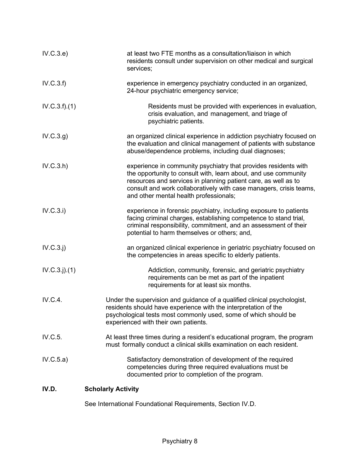| IV.C.3.e)     | at least two FTE months as a consultation/liaison in which<br>residents consult under supervision on other medical and surgical<br>services;                                                                                                                                                                         |
|---------------|----------------------------------------------------------------------------------------------------------------------------------------------------------------------------------------------------------------------------------------------------------------------------------------------------------------------|
| IV.C.3.f)     | experience in emergency psychiatry conducted in an organized,<br>24-hour psychiatric emergency service;                                                                                                                                                                                                              |
| IV.C.3.f).(1) | Residents must be provided with experiences in evaluation,<br>crisis evaluation, and management, and triage of<br>psychiatric patients.                                                                                                                                                                              |
| IV.C.3.g)     | an organized clinical experience in addiction psychiatry focused on<br>the evaluation and clinical management of patients with substance<br>abuse/dependence problems, including dual diagnoses;                                                                                                                     |
| IV.C.3.h)     | experience in community psychiatry that provides residents with<br>the opportunity to consult with, learn about, and use community<br>resources and services in planning patient care, as well as to<br>consult and work collaboratively with case managers, crisis teams,<br>and other mental health professionals; |
| IV.C.3.i)     | experience in forensic psychiatry, including exposure to patients<br>facing criminal charges, establishing competence to stand trial,<br>criminal responsibility, commitment, and an assessment of their<br>potential to harm themselves or others; and,                                                             |
| IV.C.3.j)     | an organized clinical experience in geriatric psychiatry focused on<br>the competencies in areas specific to elderly patients.                                                                                                                                                                                       |
| IV.C.3. j)(1) | Addiction, community, forensic, and geriatric psychiatry<br>requirements can be met as part of the inpatient<br>requirements for at least six months.                                                                                                                                                                |
| IV.C.4.       | Under the supervision and guidance of a qualified clinical psychologist,<br>residents should have experience with the interpretation of the<br>psychological tests most commonly used, some of which should be<br>experienced with their own patients.                                                               |
| IV.C.5.       | At least three times during a resident's educational program, the program<br>must formally conduct a clinical skills examination on each resident.                                                                                                                                                                   |
| IV.C.5.a)     | Satisfactory demonstration of development of the required<br>competencies during three required evaluations must be<br>documented prior to completion of the program.                                                                                                                                                |
| IV.D.         | <b>Scholarly Activity</b>                                                                                                                                                                                                                                                                                            |

See International Foundational Requirements, Section IV.D.